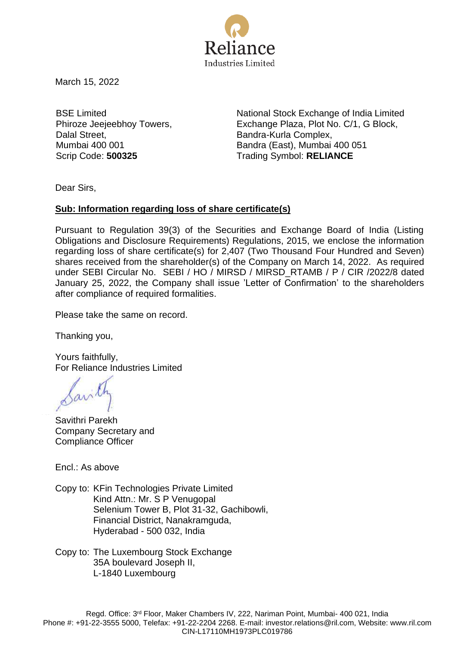

March 15, 2022

BSE Limited Phiroze Jeejeebhoy Towers, Dalal Street, Mumbai 400 001

National Stock Exchange of India Limited Exchange Plaza, Plot No. C/1, G Block, Bandra-Kurla Complex, Bandra (East), Mumbai 400 051 Scrip Code: **500325** Trading Symbol: **RELIANCE** 

Dear Sirs,

## **Sub: Information regarding loss of share certificate(s)**

Pursuant to Regulation 39(3) of the Securities and Exchange Board of India (Listing Obligations and Disclosure Requirements) Regulations, 2015, we enclose the information regarding loss of share certificate(s) for 2,407 (Two Thousand Four Hundred and Seven) shares received from the shareholder(s) of the Company on March 14, 2022. As required under SEBI Circular No. SEBI / HO / MIRSD / MIRSD\_RTAMB / P / CIR /2022/8 dated January 25, 2022, the Company shall issue 'Letter of Confirmation' to the shareholders after compliance of required formalities.

Please take the same on record.

Thanking you,

Yours faithfully, For Reliance Industries Limited

Savithri Parekh Company Secretary and Compliance Officer

Encl.: As above

Copy to: KFin Technologies Private Limited Kind Attn.: Mr. S P Venugopal Selenium Tower B, Plot 31-32, Gachibowli, Financial District, Nanakramguda, Hyderabad - 500 032, India

Copy to: The Luxembourg Stock Exchange 35A boulevard Joseph II, L-1840 Luxembourg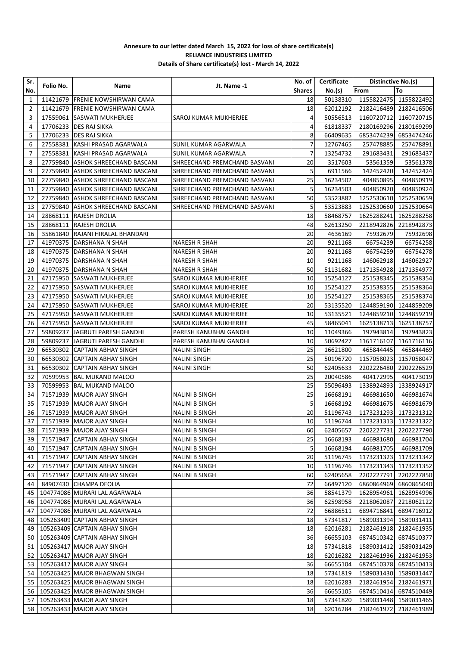## **Annexure to our letter dated March 15, 2022 for loss of share certificate(s) RELIANCE INDUSTRIES LIMITED Details of Share certificate(s) lost - March 14, 2022**

| Sr.          |           |                                 |                              | No. of I      | Certificate | Distinctive No.(s)             |                       |
|--------------|-----------|---------------------------------|------------------------------|---------------|-------------|--------------------------------|-----------------------|
| No.          | Folio No. | Name                            | Jt. Name -1                  | <b>Shares</b> | No.(s)      | From                           | To                    |
| $\mathbf{1}$ |           | 11421679 FRENIE NOWSHIRWAN CAMA |                              | 18            | 50138310    |                                | 1155822475 1155822492 |
| 2            | 11421679  | <b>FRENIE NOWSHIRWAN CAMA</b>   |                              | 18            | 62012192    | 2182416489                     | 2182416506            |
| 3            | 17559061  | <b>SASWATI MUKHERJEE</b>        | SAROJ KUMAR MUKHERJEE        | 4             | 50556513    | 1160720712                     | 1160720715            |
| 4            | 17706233  | <b>DES RAJ SIKKA</b>            |                              | 4             | 61818337    | 2180169296                     | 2180169299            |
| 5            | 17706233  | <b>DES RAJ SIKKA</b>            |                              | 8             | 66409635    | 6853474239                     | 6853474246            |
| 6            | 27558381  | KASHI PRASAD AGARWALA           | SUNIL KUMAR AGARWALA         | 7             | 12767465    | 257478885                      | 257478891             |
| 7            | 27558381  | KASHI PRASAD AGARWALA           | SUNIL KUMAR AGARWALA         | 7             | 13254732    | 291683431                      | 291683437             |
| 8            | 27759840  | ASHOK SHREECHAND BASCANI        | SHREECHAND PREMCHAND BASVANI | 20            | 3517603     | 53561359                       | 53561378              |
| 9            | 27759840  | ASHOK SHREECHAND BASCANI        | SHREECHAND PREMCHAND BASVANI | 5             | 6911566     | 142452420                      | 142452424             |
| 10           | 27759840  | ASHOK SHREECHAND BASCANI        | SHREECHAND PREMCHAND BASVANI | 25            | 16234502    | 404850895                      | 404850919             |
| 11           | 27759840  | ASHOK SHREECHAND BASCANI        | SHREECHAND PREMCHAND BASVANI | 5             | 16234503    | 404850920                      | 404850924             |
| 12           | 27759840  | ASHOK SHREECHAND BASCANI        | SHREECHAND PREMCHAND BASVANI | 50            | 53523882    | 1252530610                     | 1252530659            |
| 13           | 27759840  | ASHOK SHREECHAND BASCANI        | SHREECHAND PREMCHAND BASVANI | 5             | 53523883    | 1252530660                     | 1252530664            |
| 14           | 28868111  | RAJESH DROLIA                   |                              | 18            | 58468757    | 1625288241                     | 1625288258            |
| 15           | 28868111  | RAJESH DROLIA                   |                              | 48            | 62613250    | 2218942826                     | 2218942873            |
| 16           | 35861840  | RAJANI HIRALAL BHANDARI         |                              | 20            | 4636169     | 75932679                       | 75932698              |
| 17           | 41970375  |                                 |                              | 20            |             |                                |                       |
|              |           | DARSHANA N SHAH                 | <b>NARESH R SHAH</b>         |               | 9211168     | 66754239                       | 66754258              |
| 18           |           | 41970375   DARSHANA N SHAH      | NARESH R SHAH                | 20            | 9211168     | 66754259                       | 66754278              |
| 19           | 41970375  | DARSHANA N SHAH                 | NARESH R SHAH                | 10            | 9211168     | 146062918                      | 146062927             |
| 20           | 41970375  | DARSHANA N SHAH                 | NARESH R SHAH                | 50            | 51131682    | 1171354928                     | 1171354977            |
| 21           |           | 47175950 SASWATI MUKHERJEE      | SAROJ KUMAR MUKHERJEE        | 10            | 15254127    | 251538345                      | 251538354             |
| 22           |           | 47175950 SASWATI MUKHERJEE      | SAROJ KUMAR MUKHERJEE        | 10            | 15254127    | 251538355                      | 251538364             |
| 23           |           | 47175950 SASWATI MUKHERJEE      | SAROJ KUMAR MUKHERJEE        | 10            | 15254127    | 251538365                      | 251538374             |
| 24           |           | 47175950 SASWATI MUKHERJEE      | SAROJ KUMAR MUKHERJEE        | 20            | 53135520    | 1244859190                     | 1244859209            |
| 25           |           | 47175950 SASWATI MUKHERJEE      | SAROJ KUMAR MUKHERJEE        | 10            | 53135521    | 1244859210                     | 1244859219            |
| 26           |           | 47175950 SASWATI MUKHERJEE      | SAROJ KUMAR MUKHERJEE        | 45            | 58465041    | 1625138713                     | 1625138757            |
| 27           | 59809237  | <b>JAGRUTI PARESH GANDHI</b>    | PARESH KANUBHAI GANDHI       | 10            | 11049366    | 197943814                      | 197943823             |
| 28           | 59809237  | <b>JAGRUTI PARESH GANDHI</b>    | PARESH KANUBHAI GANDHI       | 10            | 50692427    | 1161716107                     | 1161716116            |
| 29           |           | 66530302 CAPTAIN ABHAY SINGH    | NALINI SINGH                 | 25            | 16621800    | 465844445                      | 465844469             |
| 30           | 66530302  | <b>CAPTAIN ABHAY SINGH</b>      | NALINI SINGH                 | 25            | 50196720    | 1157058023                     | 1157058047            |
| 31           | 66530302  | CAPTAIN ABHAY SINGH             | NALINI SINGH                 | 50            | 62405633    | 2202226480                     | 2202226529            |
| 32           | 70599953  | <b>BAL MUKAND MALOO</b>         |                              | 25            | 20040586    | 404172995                      | 404173019             |
| 33           | 70599953  | BAL MUKAND MALOO                |                              | 25            | 55096493    | 1338924893                     | 1338924917            |
| 34           | 71571939  | MAJOR AJAY SINGH                | NALINI B SINGH               | 25            | 16668191    | 466981650                      | 466981674             |
| 35           | 71571939  | MAJOR AJAY SINGH                | <b>NALINI B SINGH</b>        | 5             | 16668192    | 466981675                      | 466981679             |
| 36           | 71571939  | MAJOR AJAY SINGH                | NALINI B SINGH               | 20            | 51196743    |                                | 1173231293 1173231312 |
|              |           | 37 71571939 MAJOR AJAY SINGH    | <b>NALINI B SINGH</b>        | 10            |             | 51196744 1173231313 1173231322 |                       |
| 38           |           | 71571939   MAJOR AJAY SINGH     | NALINI B SINGH               | 60            | 62405657    | 2202227731                     | 2202227790            |
| 39           |           | 71571947 CAPTAIN ABHAY SINGH    | NALINI B SINGH               | 25            | 16668193    | 466981680                      | 466981704             |
| 40           |           | 71571947 CAPTAIN ABHAY SINGH    | NALINI B SINGH               | 5             | 16668194    | 466981705                      | 466981709             |
| 41           |           | 71571947 CAPTAIN ABHAY SINGH    | NALINI B SINGH               | 20            | 51196745    | 1173231323                     | 1173231342            |
| 42           |           | 71571947 CAPTAIN ABHAY SINGH    | NALINI B SINGH               | 10            | 51196746    | 1173231343                     | 1173231352            |
| 43           |           | 71571947 CAPTAIN ABHAY SINGH    | NALINI B SINGH               | 60            | 62405658    | 2202227791                     | 2202227850            |
| 44           |           | 84907430 CHAMPA DEOLIA          |                              | 72            | 66497120    | 6860864969                     | 6860865040            |
| 45           |           | 104774086 MURARI LAL AGARWALA   |                              | 36            | 58541379    | 1628954961                     | 1628954996            |
| 46           |           | 104774086 MURARI LAL AGARWALA   |                              | 36            | 62598958    | 2218062087                     | 2218062122            |
| 47           |           | 104774086 MURARI LAL AGARWALA   |                              | 72            | 66886511    | 6894716841                     | 6894716912            |
| 48           |           | 105263409 CAPTAIN ABHAY SINGH   |                              | 18            | 57341817    | 1589031394                     | 1589031411            |
| 49           |           | 105263409 CAPTAIN ABHAY SINGH   |                              | 18            | 62016281    |                                | 2182461918 2182461935 |
| 50           |           | 105263409 CAPTAIN ABHAY SINGH   |                              | 36            | 66655103    | 6874510342                     | 6874510377            |
| 51           |           | 105263417 MAJOR AJAY SINGH      |                              | 18            | 57341818    | 1589031412                     | 1589031429            |
| 52           |           | 105263417 MAJOR AJAY SINGH      |                              | 18            | 62016282    |                                | 2182461936 2182461953 |
| 53           |           | 105263417 MAJOR AJAY SINGH      |                              | 36            | 66655104    |                                | 6874510378 6874510413 |
| 54           |           | 105263425 MAJOR BHAGWAN SINGH   |                              | 18            | 57341819    |                                | 1589031430 1589031447 |
| 55           |           | 105263425 MAJOR BHAGWAN SINGH   |                              | 18            | 62016283    | 2182461954                     | 2182461971            |
| 56           |           | 105263425 MAJOR BHAGWAN SINGH   |                              | 36            | 66655105    | 6874510414                     | 6874510449            |
|              |           | 105263433 MAJOR AJAY SINGH      |                              | 18            | 57341820    | 1589031448                     | 1589031465            |
| 57           |           |                                 |                              |               |             |                                |                       |
| 58 l         |           | 105263433 MAJOR AJAY SINGH      |                              | 18            | 62016284    | 2182461972                     | 2182461989            |